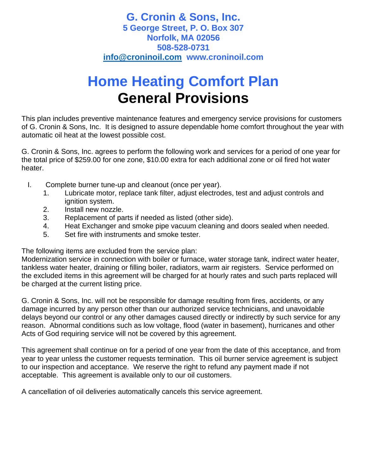## **G. Cronin & Sons, Inc. 5 George Street, P. O. Box 307 Norfolk, MA 02056 508-528-0731 [info@croninoil.com](mailto:info@croninoil.com) www.croninoil.com**

## **Home Heating Comfort Plan General Provisions**

This plan includes preventive maintenance features and emergency service provisions for customers of G. Cronin & Sons, Inc. It is designed to assure dependable home comfort throughout the year with automatic oil heat at the lowest possible cost.

G. Cronin & Sons, Inc. agrees to perform the following work and services for a period of one year for the total price of \$259.00 for one zone, \$10.00 extra for each additional zone or oil fired hot water heater.

- I. Complete burner tune-up and cleanout (once per year).
	- 1. Lubricate motor, replace tank filter, adjust electrodes, test and adjust controls and ignition system.
	- 2. Install new nozzle.
	- 3. Replacement of parts if needed as listed (other side).
	- 4. Heat Exchanger and smoke pipe vacuum cleaning and doors sealed when needed.
	- 5. Set fire with instruments and smoke tester.

The following items are excluded from the service plan:

Modernization service in connection with boiler or furnace, water storage tank, indirect water heater, tankless water heater, draining or filling boiler, radiators, warm air registers. Service performed on the excluded items in this agreement will be charged for at hourly rates and such parts replaced will be charged at the current listing price.

G. Cronin & Sons, Inc. will not be responsible for damage resulting from fires, accidents, or any damage incurred by any person other than our authorized service technicians, and unavoidable delays beyond our control or any other damages caused directly or indirectly by such service for any reason. Abnormal conditions such as low voltage, flood (water in basement), hurricanes and other Acts of God requiring service will not be covered by this agreement.

This agreement shall continue on for a period of one year from the date of this acceptance, and from year to year unless the customer requests termination. This oil burner service agreement is subject to our inspection and acceptance. We reserve the right to refund any payment made if not acceptable. This agreement is available only to our oil customers.

A cancellation of oil deliveries automatically cancels this service agreement.